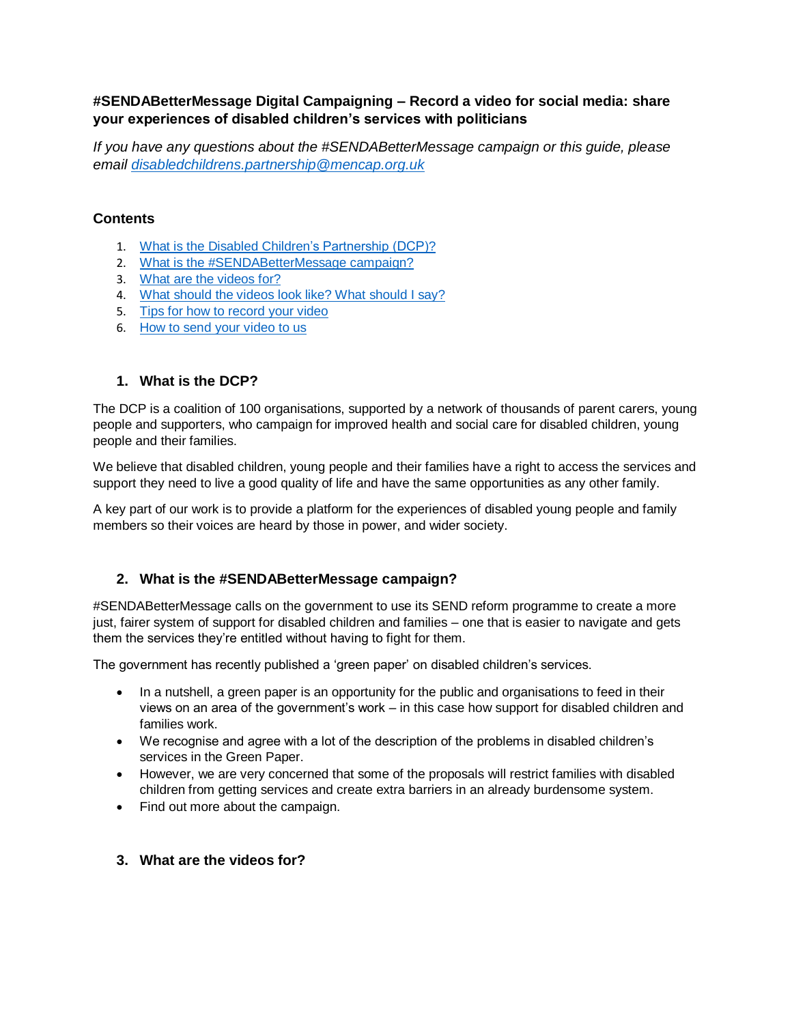## **#SENDABetterMessage Digital Campaigning – Record a video for social media: share your experiences of disabled children's services with politicians**

*If you have any questions about the #SENDABetterMessage campaign or this guide, please email [disabledchildrens.partnership@mencap.org.uk](mailto:disabledchildrens.partnership@mencap.org.uk)*

# **Contents**

- 1. [What is the Disabled Children's Partnership \(DCP\)?](#page-0-0)
- 2. [What is the #SENDABetterMessage campaign?](#page-0-1)
- 3. [What are the videos for?](#page-0-2)
- 4. [What should the videos look like?](#page-1-0) What should I say?
- 5. [Tips for how to record your video](#page-2-0)
- 6. [How to send your video to us](#page-4-0)

## <span id="page-0-0"></span>**1. What is the DCP?**

The DCP is a coalition of 100 organisations, supported by a network of thousands of parent carers, young people and supporters, who campaign for improved health and social care for disabled children, young people and their families.

We believe that disabled children, young people and their families have a right to access the services and support they need to live a good quality of life and have the same opportunities as any other family.

A key part of our work is to provide a platform for the experiences of disabled young people and family members so their voices are heard by those in power, and wider society.

# <span id="page-0-1"></span>**2. What is the #SENDABetterMessage campaign?**

#SENDABetterMessage calls on the government to use its SEND reform programme to create a more just, fairer system of support for disabled children and families – one that is easier to navigate and gets them the services they're entitled without having to fight for them.

The government has recently published a 'green paper' on disabled children's services.

- In a nutshell, a green paper is an opportunity for the public and organisations to feed in their views on an area of the government's work – in this case how support for disabled children and families work.
- We recognise and agree with a lot of the description of the problems in disabled children's services in the Green Paper.
- However, we are very concerned that some of the proposals will restrict families with disabled children from getting services and create extra barriers in an already burdensome system.
- Find out more about the campaign.

## <span id="page-0-2"></span>**3. What are the videos for?**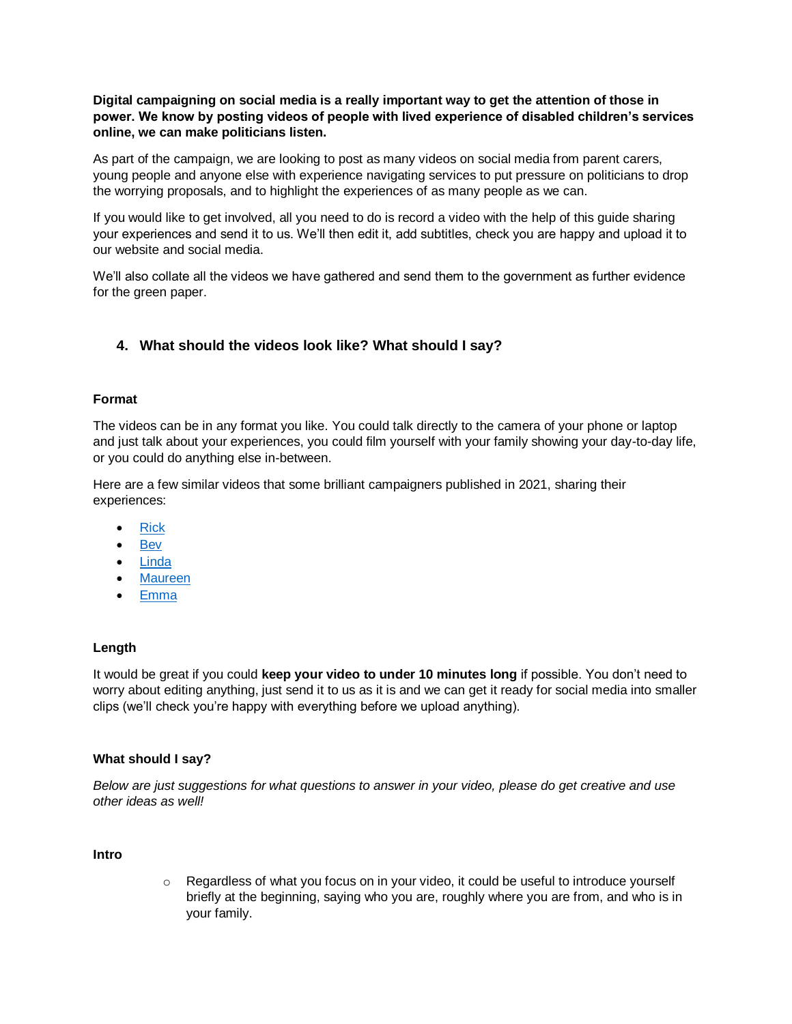**Digital campaigning on social media is a really important way to get the attention of those in power. We know by posting videos of people with lived experience of disabled children's services online, we can make politicians listen.**

As part of the campaign, we are looking to post as many videos on social media from parent carers, young people and anyone else with experience navigating services to put pressure on politicians to drop the worrying proposals, and to highlight the experiences of as many people as we can.

If you would like to get involved, all you need to do is record a video with the help of this guide sharing your experiences and send it to us. We'll then edit it, add subtitles, check you are happy and upload it to our website and social media.

We'll also collate all the videos we have gathered and send them to the government as further evidence for the green paper.

## <span id="page-1-0"></span>**4. What should the videos look like? What should I say?**

#### **Format**

The videos can be in any format you like. You could talk directly to the camera of your phone or laptop and just talk about your experiences, you could film yourself with your family showing your day-to-day life, or you could do anything else in-between.

Here are a few similar videos that some brilliant campaigners published in 2021, sharing their experiences:

- [Rick](https://twitter.com/DCPcampaign/status/1476108728315224069)
- [Bev](https://twitter.com/DCPcampaign/status/1465603107640033280)
- [Linda](https://twitter.com/DCPcampaign/status/1463560545496272901)
- [Maureen](https://twitter.com/DCPcampaign/status/1458736263213707270)
- [Emma](https://twitter.com/DCPcampaign/status/1492424738701922305)

### **Length**

It would be great if you could **keep your video to under 10 minutes long** if possible. You don't need to worry about editing anything, just send it to us as it is and we can get it ready for social media into smaller clips (we'll check you're happy with everything before we upload anything).

#### **What should I say?**

*Below are just suggestions for what questions to answer in your video, please do get creative and use other ideas as well!* 

#### **Intro**

o Regardless of what you focus on in your video, it could be useful to introduce yourself briefly at the beginning, saying who you are, roughly where you are from, and who is in your family.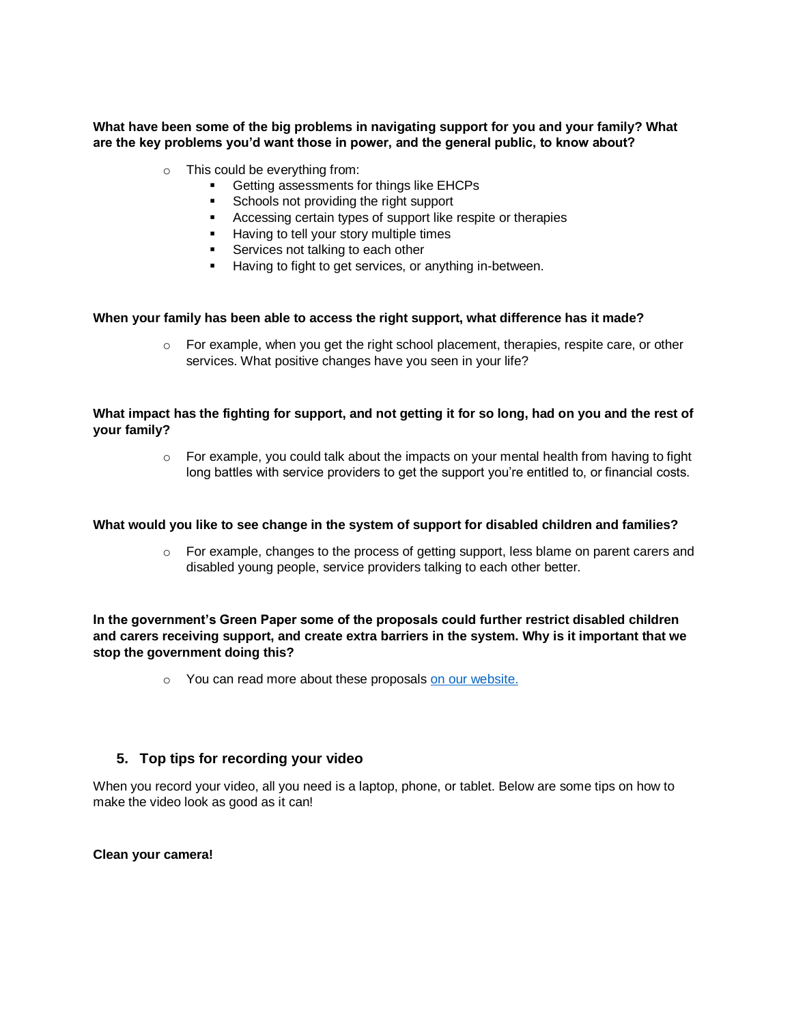**What have been some of the big problems in navigating support for you and your family? What are the key problems you'd want those in power, and the general public, to know about?** 

- o This could be everything from:
	- **Getting assessments for things like EHCPs**
	- Schools not providing the right support
	- **Accessing certain types of support like respite or therapies**
	- **Having to tell your story multiple times**
	- **Services not talking to each other**
	- Having to fight to get services, or anything in-between.

#### **When your family has been able to access the right support, what difference has it made?**

 $\circ$  For example, when you get the right school placement, therapies, respite care, or other services. What positive changes have you seen in your life?

#### **What impact has the fighting for support, and not getting it for so long, had on you and the rest of your family?**

 $\circ$  For example, you could talk about the impacts on your mental health from having to fight long battles with service providers to get the support you're entitled to, or financial costs.

#### **What would you like to see change in the system of support for disabled children and families?**

 $\circ$  For example, changes to the process of getting support, less blame on parent carers and disabled young people, service providers talking to each other better.

#### **In the government's Green Paper some of the proposals could further restrict disabled children and carers receiving support, and create extra barriers in the system. Why is it important that we stop the government doing this?**

o You can read more about these proposals [on our website.](https://disabledchildrenspartnership.org.uk/sendabettermessage/)

### <span id="page-2-0"></span>**5. Top tips for recording your video**

When you record your video, all you need is a laptop, phone, or tablet. Below are some tips on how to make the video look as good as it can!

#### **Clean your camera!**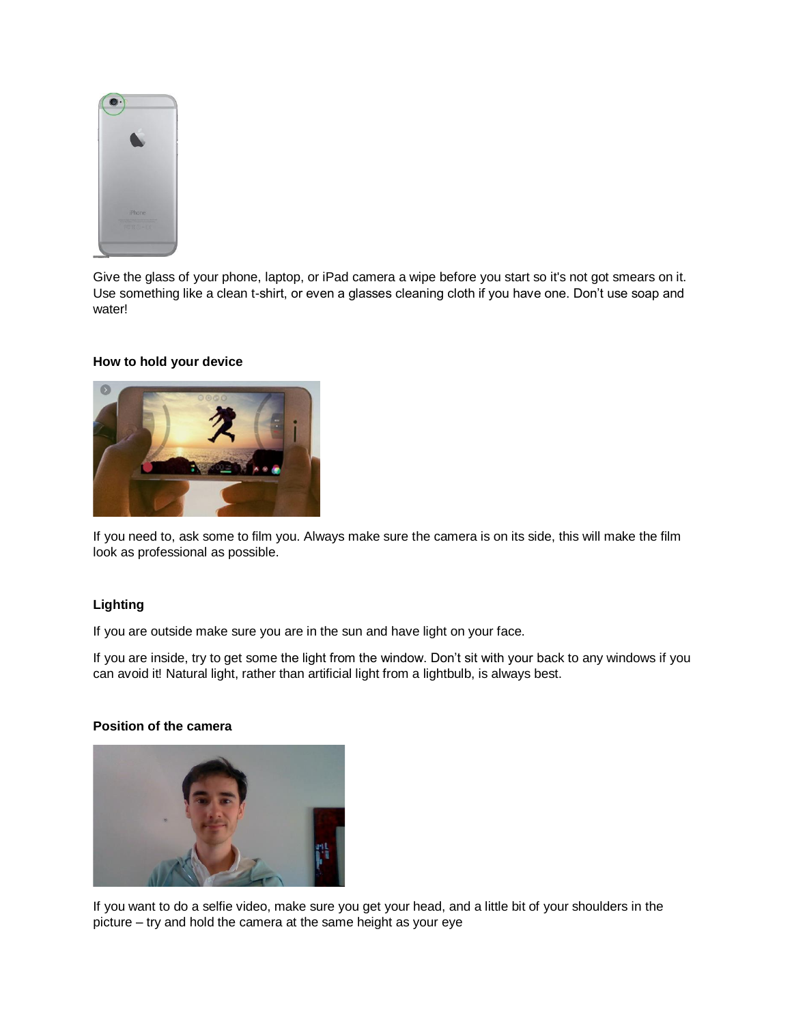

Give the glass of your phone, laptop, or iPad camera a wipe before you start so it's not got smears on it. Use something like a clean t-shirt, or even a glasses cleaning cloth if you have one. Don't use soap and water!

#### **How to hold your device**



If you need to, ask some to film you. Always make sure the camera is on its side, this will make the film look as professional as possible.

### **Lighting**

If you are outside make sure you are in the sun and have light on your face.

If you are inside, try to get some the light from the window. Don't sit with your back to any windows if you can avoid it! Natural light, rather than artificial light from a lightbulb, is always best.

### **Position of the camera**



If you want to do a selfie video, make sure you get your head, and a little bit of your shoulders in the picture – try and hold the camera at the same height as your eye